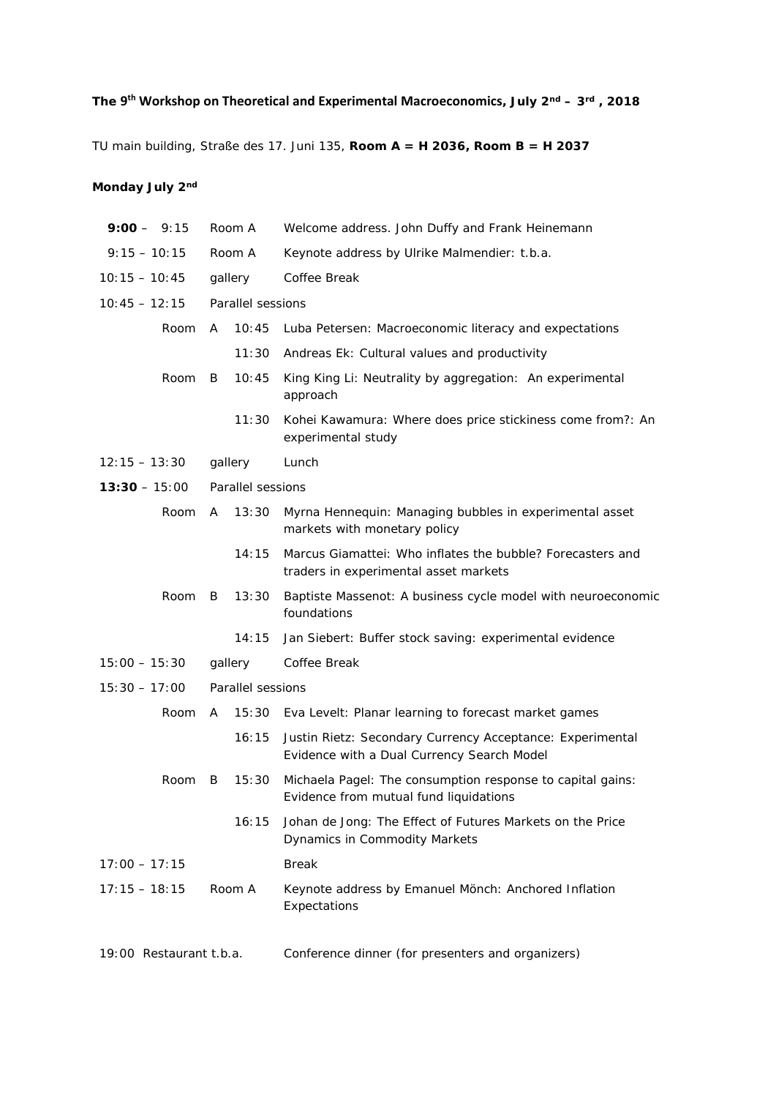## **The 9th Workshop on Theoretical and Experimental Macroeconomics, July 2nd – 3rd , 2018**

TU main building, Straße des 17. Juni 135, **Room A = H 2036, Room B = H 2037**

## **Monday July 2nd**

| $9:00 - 9:15$           | Room A            | Welcome address. John Duffy and Frank Heinemann                                                         |  |
|-------------------------|-------------------|---------------------------------------------------------------------------------------------------------|--|
| $9:15 - 10:15$          | Room A            | Keynote address by Ulrike Malmendier: t.b.a.                                                            |  |
| $10:15 - 10:45$         | gallery           | Coffee Break                                                                                            |  |
| $10:45 - 12:15$         | Parallel sessions |                                                                                                         |  |
| Room                    | 10:45<br>A        | Luba Petersen: Macroeconomic literacy and expectations                                                  |  |
|                         | 11:30             | Andreas Ek: Cultural values and productivity                                                            |  |
| Room                    | 10:45<br>B        | King King Li: Neutrality by aggregation: An experimental<br>approach                                    |  |
|                         | 11:30             | Kohei Kawamura: Where does price stickiness come from?: An<br>experimental study                        |  |
| $12:15 - 13:30$         | gallery           | Lunch                                                                                                   |  |
| $13:30 - 15:00$         | Parallel sessions |                                                                                                         |  |
| Room                    | 13:30<br>A        | Myrna Hennequin: Managing bubbles in experimental asset<br>markets with monetary policy                 |  |
|                         | 14:15             | Marcus Giamattei: Who inflates the bubble? Forecasters and<br>traders in experimental asset markets     |  |
| Room                    | B<br>13:30        | Baptiste Massenot: A business cycle model with neuroeconomic<br>foundations                             |  |
|                         | 14:15             | Jan Siebert: Buffer stock saving: experimental evidence                                                 |  |
| $15:00 - 15:30$         | gallery           | Coffee Break                                                                                            |  |
| $15:30 - 17:00$         | Parallel sessions |                                                                                                         |  |
| Room                    | A                 | 15:30 Eva Levelt: Planar learning to forecast market games                                              |  |
|                         | 16:15             | Justin Rietz: Secondary Currency Acceptance: Experimental<br>Evidence with a Dual Currency Search Model |  |
| Room                    | 15:30<br>B        | Michaela Pagel: The consumption response to capital gains:<br>Evidence from mutual fund liquidations    |  |
|                         | 16:15             | Johan de Jong: The Effect of Futures Markets on the Price<br><b>Dynamics in Commodity Markets</b>       |  |
| $17:00 - 17:15$         |                   | <b>Break</b>                                                                                            |  |
| $17:15 - 18:15$         | Room A            | Keynote address by Emanuel Mönch: Anchored Inflation<br>Expectations                                    |  |
| 19:00 Restaurant t.b.a. |                   | Conference dinner (for presenters and organizers)                                                       |  |